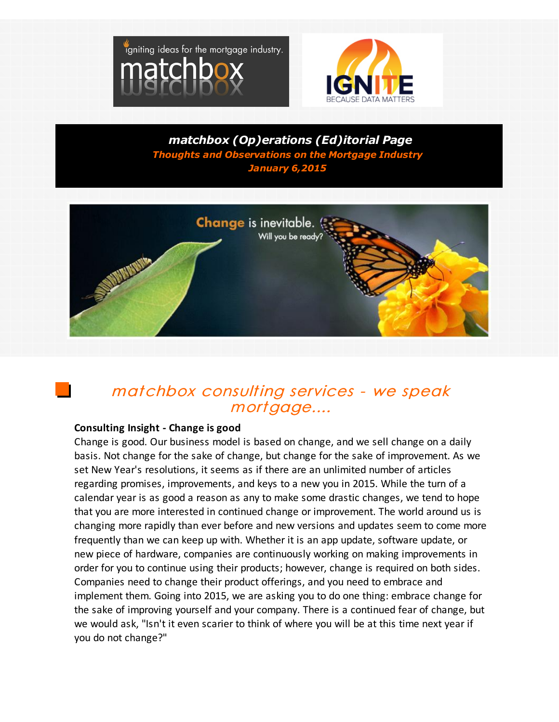



*matchbox (Op)erations (Ed)itorial Page Thoughts and Observations on the Mortgage Industry January 6,2015*



# matchbox consulting services - we speak mortgage....

### **Consulting Insight - Change is good**

Change is good. Our business model is based on change, and we sell change on a daily basis. Not change for the sake of change, but change for the sake of improvement. As we set New Year's resolutions, it seems as if there are an unlimited number of articles regarding promises, improvements, and keys to a new you in 2015. While the turn of a calendar year is as good a reason as any to make some drastic changes, we tend to hope that you are more interested in continued change or improvement. The world around us is changing more rapidly than ever before and new versions and updates seem to come more frequently than we can keep up with. Whether it is an app update, software update, or new piece of hardware, companies are continuously working on making improvements in order for you to continue using their products; however, change is required on both sides. Companies need to change their product offerings, and you need to embrace and implement them. Going into 2015, we are asking you to do one thing: embrace change for the sake of improving yourself and your company. There is a continued fear of change, but we would ask, "Isn't it even scarier to think of where you will be at this time next year if you do not change?"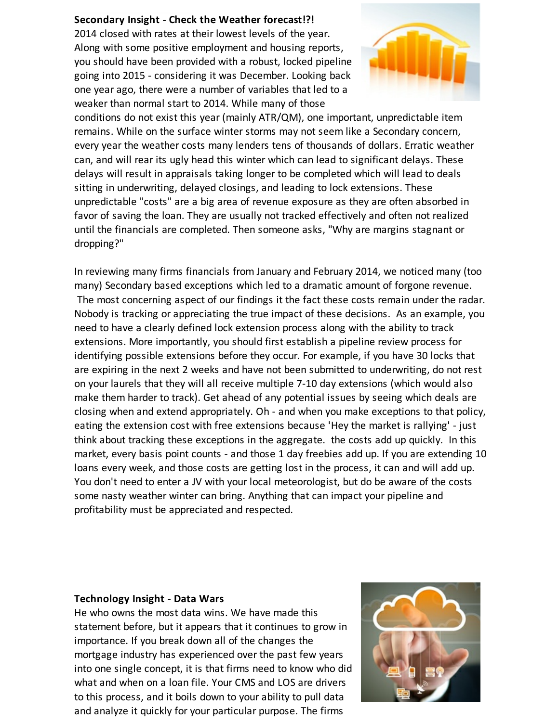#### **Secondary Insight - Check the Weather forecast!?!**

2014 closed with rates at their lowest levels of the year. Along with some positive employment and housing reports, you should have been provided with a robust, locked pipeline going into 2015 - considering it was December. Looking back one year ago, there were a number of variables that led to a weaker than normal start to 2014. While many of those



conditions do not exist this year (mainly ATR/QM), one important, unpredictable item remains. While on the surface winter storms may not seem like a Secondary concern, every year the weather costs many lenders tens of thousands of dollars. Erratic weather can, and will rear its ugly head this winter which can lead to significant delays. These delays will result in appraisals taking longer to be completed which will lead to deals sitting in underwriting, delayed closings, and leading to lock extensions. These unpredictable "costs" are a big area of revenue exposure as they are often absorbed in favor of saving the loan. They are usually not tracked effectively and often not realized until the financials are completed. Then someone asks, "Why are margins stagnant or dropping?"

In reviewing many firms financials from January and February 2014, we noticed many (too many) Secondary based exceptions which led to a dramatic amount of forgone revenue. The most concerning aspect of our findings it the fact these costs remain under the radar. Nobody is tracking or appreciating the true impact of these decisions. As an example, you need to have a clearly defined lock extension process along with the ability to track extensions. More importantly, you should first establish a pipeline review process for identifying possible extensions before they occur. For example, if you have 30 locks that are expiring in the next 2 weeks and have not been submitted to underwriting, do not rest on your laurels that they will all receive multiple 7-10 day extensions (which would also make them harder to track). Get ahead of any potential issues by seeing which deals are closing when and extend appropriately. Oh - and when you make exceptions to that policy, eating the extension cost with free extensions because 'Hey the market is rallying' - just think about tracking these exceptions in the aggregate. the costs add up quickly. In this market, every basis point counts - and those 1 day freebies add up. If you are extending 10 loans every week, and those costs are getting lost in the process, it can and will add up. You don't need to enter a JV with your local meteorologist, but do be aware of the costs some nasty weather winter can bring. Anything that can impact your pipeline and profitability must be appreciated and respected.

#### **Technology Insight - Data Wars**

He who owns the most data wins. We have made this statement before, but it appears that it continues to grow in importance. If you break down all of the changes the mortgage industry has experienced over the past few years into one single concept, it is that firms need to know who did what and when on a loan file. Your CMS and LOS are drivers to this process, and it boils down to your ability to pull data and analyze it quickly for your particular purpose. The firms